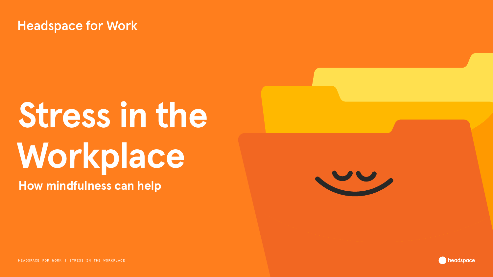

# **How mindfulness can help Stress in the Workplace**

HEADSPACE FOR WORK | STRESS IN THE WORKPLACE HEADSPACE FOR WORK | STRESS IN THE WORKPLACE

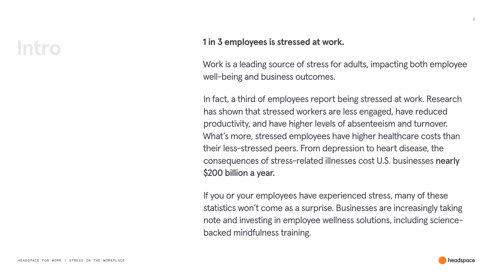### **1 in 3 employees is stressed at work.**





Work is a leading source of stress for adults, impacting both employee well-being and business outcomes.

In fact, a third of employees report being stressed at work. Research has shown that stressed workers are less engaged, have reduced productivity, and have higher levels of absenteeism and turnover. What's more, stressed employees have higher healthcare costs than their less-stressed peers. From depression to heart disease, the consequences of stress-related illnesses cost U.S. businesses nearly \$200 billion a year.

If you or your employees have experienced stress, many of these statistics won't come as a surprise. Businesses are increasingly taking note and investing in employee wellness solutions, including sciencebacked mindfulness training.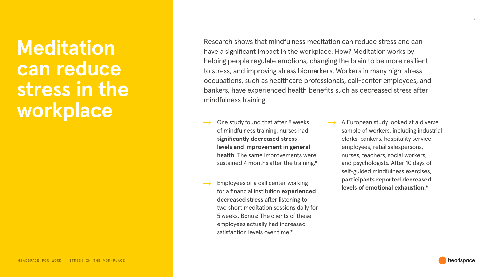HEADSPACE FOR WORK | STRESS IN THE WORKPLACE

3

**Meditation can reduce stress in the workplace**

One study found that after 8 weeks of mindfulness training, nurses had **significantly decreased stress levels and improvement in general health**. The same improvements were sustained 4 months after the training.\*

Research shows that mindfulness meditation can reduce stress and can have a significant impact in the workplace. How? Meditation works by helping people regulate emotions, changing the brain to be more resilient to stress, and improving stress biomarkers. Workers in many high-stress occupations, such as healthcare professionals, call-center employees, and bankers, have experienced health benefits such as decreased stress after mindfulness training.

**Level Constructs of a call center working the velocity of a call center working the velocity of emotional exhaustion.\*** for a financial institution **experienced decreased stress** after listening to two short meditation sessions daily for 5 weeks. Bonus: The clients of these employees actually had increased satisfaction levels over time.\*

A European study looked at a diverse sample of workers, including industrial clerks, bankers, hospitality service employees, retail salespersons, nurses, teachers, social workers, and psychologists. After 10 days of self-guided mindfulness exercises, **participants reported decreased** 

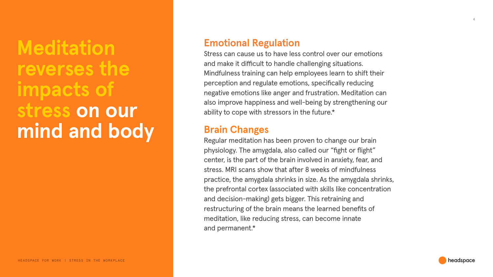

### **Emotional Regulation**

Stress can cause us to have less control over our emotions and make it difficult to handle challenging situations. Mindfulness training can help employees learn to shift their perception and regulate emotions, specifically reducing negative emotions like anger and frustration. Meditation can also improve happiness and well-being by strengthening our ability to cope with stressors in the future.\*

### **Brain Changes**

Regular meditation has been proven to change our brain physiology. The amygdala, also called our "fight or flight" center, is the part of the brain involved in anxiety, fear, and stress. MRI scans show that after 8 weeks of mindfulness practice, the amygdala shrinks in size. As the amygdala shrinks, the prefrontal cortex (associated with skills like concentration and decision-making) gets bigger. This retraining and restructuring of the brain means the learned benefits of meditation, like reducing stress, can become innate and permanent.\*

## **Meditation reverses the impacts of stress on our mind and body**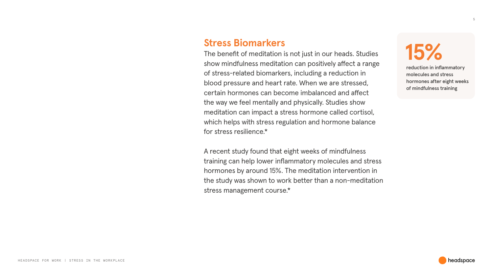### **Stress Biomarkers**

The benefit of meditation is not just in our heads. Studies show mindfulness meditation can positively affect a range of stress-related biomarkers, including a reduction in blood pressure and heart rate. When we are stressed, certain hormones can become imbalanced and affect the way we feel mentally and physically. Studies show meditation can impact a stress hormone called cortisol, which helps with stress regulation and hormone balance for stress resilience.\*

A recent study found that eight weeks of mindfulness training can help lower inflammatory molecules and stress hormones by around 15%. The meditation intervention in the study was shown to work better than a non-meditation stress management course.\*

**15%**

reduction in inflammatory molecules and stress hormones after eight weeks of mindfulness training



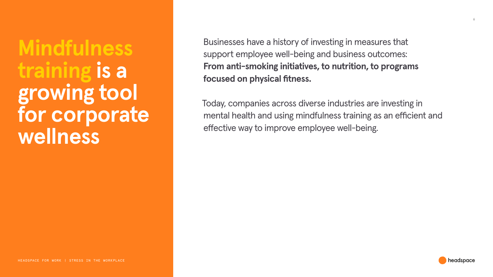HEADSPACE FOR WORK | STRESS IN THE WORKPLACE



6

## **Mindfulness training is a growing tool for corporate wellness**

Businesses have a history of investing in measures that support employee well-being and business outcomes: **From anti-smoking initiatives, to nutrition, to programs focused on physical fitness.**

Today, companies across diverse industries are investing in mental health and using mindfulness training as an efficient and effective way to improve employee well-being.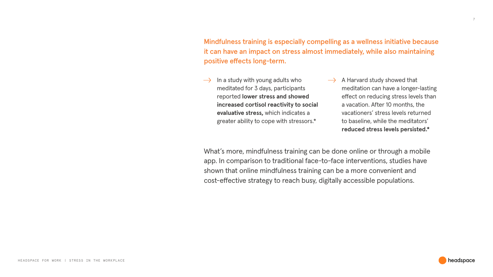HEADSPACE FOR WORK | STRESS IN THE WORKPLACE

Mindfulness training is especially compelling as a wellness initiative because it can have an impact on stress almost immediately, while also maintaining positive effects long-term.

 $\rightarrow$  In a study with young adults who meditated for 3 days, participants reported **lower stress and showed increased cortisol reactivity to social evaluative stress,** which indicates a greater ability to cope with stressors.\*

 $\rightarrow$  A Harvard study showed that meditation can have a longer-lasting effect on reducing stress levels than a vacation. After 10 months, the vacationers' stress levels returned to baseline, while the meditators' **reduced stress levels persisted.\***



What's more, mindfulness training can be done online or through a mobile app. In comparison to traditional face-to-face interventions, studies have shown that online mindfulness training can be a more convenient and cost-effective strategy to reach busy, digitally accessible populations.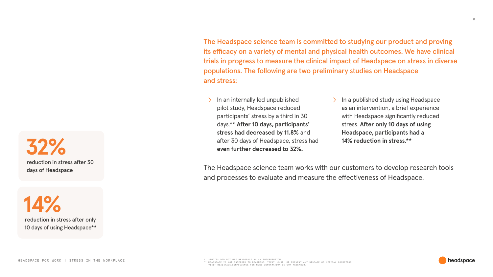

The Headspace science team is committed to studying our product and proving its efficacy on a variety of mental and physical health outcomes. We have clinical trials in progress to measure the clinical impact of Headspace on stress in diverse populations. The following are two preliminary studies on Headspace and stress:

 $\rightarrow$ 

The Headspace science team works with our customers to develop research tools and processes to evaluate and measure the effectiveness of Headspace.



**14%** reduction in stress after only 10 days of using Headspace\*\*

**32%**

reduction in stress after 30

days of Headspace

- In an internally led unpublished pilot study, Headspace reduced participants' stress by a third in 30 days.\*\* **After 10 days, participants' stress had decreased by 11.8%** and after 30 days of Headspace, stress had **even further decreased to 32%.**
- In a published study using Headspace  $\rightarrow$ as an intervention, a brief experience with Headspace significantly reduced stress. **After only 10 days of using Headspace, participants had a 14% reduction in stress.\*\***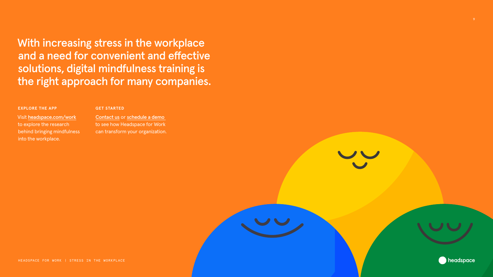

With increasing stress in the workplace and a need for convenient and effective solutions, digital mindfulness training is the right approach for many companies.

### **EXPLORE THE APP**

Visit [headspace.com/work](https://headspace.com/work/) to explore the research behind bringing mindfulness into the workplace.

### **GET STARTED**

[Contact us](https://www.headspace.com/work) or [schedule a demo](https://get.headspace.com/demo)  to see how Headspace for Work can transform your organization.